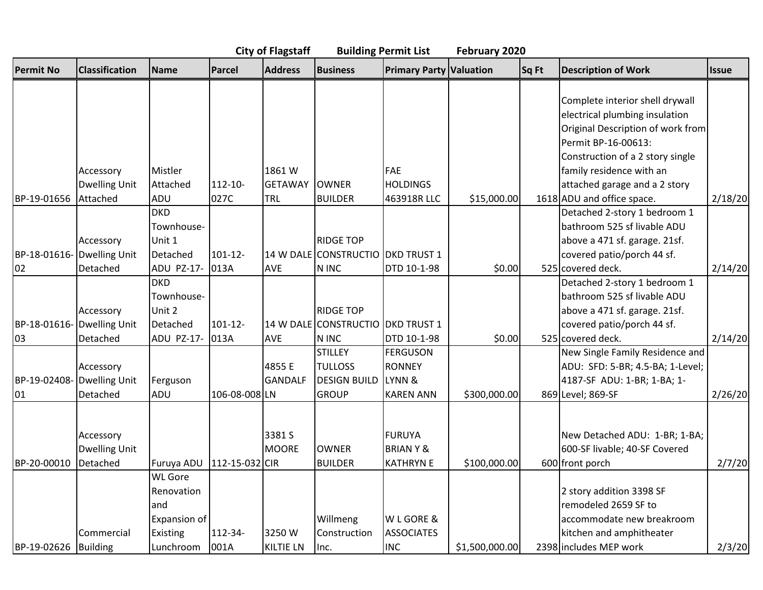## **City of Flagstaff Building Permit List February 2020**

| <b>Permit No</b>     | <b>Classification</b> | Name                        | Parcel        | <b>Address</b>   | <b>Business</b>                   | <b>Primary Party Valuation</b> |                | Sq Ft | <b>Description of Work</b>        | <b>Issue</b> |
|----------------------|-----------------------|-----------------------------|---------------|------------------|-----------------------------------|--------------------------------|----------------|-------|-----------------------------------|--------------|
|                      |                       |                             |               |                  |                                   |                                |                |       |                                   |              |
|                      |                       |                             |               |                  |                                   |                                |                |       | Complete interior shell drywall   |              |
|                      |                       |                             |               |                  |                                   |                                |                |       | electrical plumbing insulation    |              |
|                      |                       |                             |               |                  |                                   |                                |                |       | Original Description of work from |              |
|                      |                       |                             |               |                  |                                   |                                |                |       | Permit BP-16-00613:               |              |
|                      |                       |                             |               |                  |                                   |                                |                |       | Construction of a 2 story single  |              |
|                      | Accessory             | Mistler                     |               | 1861 W           |                                   | FAE                            |                |       | family residence with an          |              |
|                      | <b>Dwelling Unit</b>  | Attached                    | $112 - 10 -$  | <b>GETAWAY</b>   | <b>OWNER</b>                      | <b>HOLDINGS</b>                |                |       | attached garage and a 2 story     |              |
| BP-19-01656          | Attached              | ADU                         | 027C          | TRL              | <b>BUILDER</b>                    | 463918R LLC                    | \$15,000.00    |       | 1618 ADU and office space.        | 2/18/20      |
|                      |                       | <b>DKD</b>                  |               |                  |                                   |                                |                |       | Detached 2-story 1 bedroom 1      |              |
|                      |                       | Townhouse-                  |               |                  |                                   |                                |                |       | bathroom 525 sf livable ADU       |              |
|                      | Accessory             | Unit 1                      |               |                  | <b>RIDGE TOP</b>                  |                                |                |       | above a 471 sf. garage. 21sf.     |              |
| BP-18-01616-         | Dwelling Unit         | Detached                    | $101 - 12$    |                  | 14 W DALE CONSTRUCTIO DKD TRUST 1 |                                |                |       | covered patio/porch 44 sf.        |              |
| 02                   | Detached              | ADU PZ-17-                  | 013A          | AVE              | N INC                             | DTD 10-1-98                    | \$0.00         |       | 525 covered deck.                 | 2/14/20      |
|                      |                       | <b>DKD</b>                  |               |                  |                                   |                                |                |       | Detached 2-story 1 bedroom 1      |              |
|                      |                       | Townhouse-                  |               |                  |                                   |                                |                |       | bathroom 525 sf livable ADU       |              |
|                      | Accessory             | Unit 2                      |               |                  | <b>RIDGE TOP</b>                  |                                |                |       | above a 471 sf. garage. 21sf.     |              |
| BP-18-01616-         | <b>Dwelling Unit</b>  | Detached                    | $101 - 12$    |                  | 14 W DALE CONSTRUCTIO DKD TRUST 1 |                                |                |       | covered patio/porch 44 sf.        |              |
| 03                   | Detached              | ADU PZ-17-                  | 013A          | <b>AVE</b>       | N INC                             | DTD 10-1-98                    | \$0.00         |       | 525 covered deck.                 | 2/14/20      |
|                      |                       |                             |               |                  | <b>STILLEY</b>                    | <b>FERGUSON</b>                |                |       | New Single Family Residence and   |              |
|                      | Accessory             |                             |               | 4855 E           | <b>TULLOSS</b>                    | <b>RONNEY</b>                  |                |       | ADU: SFD: 5-BR; 4.5-BA; 1-Level;  |              |
| BP-19-02408-         | <b>Dwelling Unit</b>  | Ferguson                    |               | <b>GANDALF</b>   | <b>DESIGN BUILD</b>               | LYNN &                         |                |       | 4187-SF ADU: 1-BR; 1-BA; 1-       |              |
| 01                   | Detached              | ADU                         | 106-08-008 LN |                  | <b>GROUP</b>                      | <b>KAREN ANN</b>               | \$300,000.00   |       | 869 Level; 869-SF                 | 2/26/20      |
|                      |                       |                             |               |                  |                                   |                                |                |       |                                   |              |
|                      |                       |                             |               |                  |                                   |                                |                |       |                                   |              |
|                      | Accessory             |                             |               | 3381 S           |                                   | <b>FURUYA</b>                  |                |       | New Detached ADU: 1-BR; 1-BA;     |              |
|                      | <b>Dwelling Unit</b>  |                             |               | <b>MOORE</b>     | <b>OWNER</b>                      | <b>BRIANY&amp;</b>             |                |       | 600-SF livable; 40-SF Covered     |              |
| BP-20-00010          | Detached              | Furuya ADU   112-15-032 CIR |               |                  | <b>BUILDER</b>                    | <b>KATHRYN E</b>               | \$100,000.00   |       | 600 front porch                   | 2/7/20       |
|                      |                       | <b>WL Gore</b>              |               |                  |                                   |                                |                |       |                                   |              |
|                      |                       | Renovation                  |               |                  |                                   |                                |                |       | 2 story addition 3398 SF          |              |
|                      |                       | land                        |               |                  |                                   |                                |                |       | remodeled 2659 SF to              |              |
|                      |                       | Expansion of                |               |                  | Willmeng                          | W L GORE &                     |                |       | accommodate new breakroom         |              |
|                      | Commercial            | Existing                    | 112-34-       | 3250W            | Construction                      | <b>ASSOCIATES</b>              |                |       | kitchen and amphitheater          |              |
| BP-19-02626 Building |                       | l Lunchroom                 | 001A          | <b>KILTIE LN</b> | Inc.                              | <b>INC</b>                     | \$1,500,000.00 |       | 2398 includes MEP work            | 2/3/20       |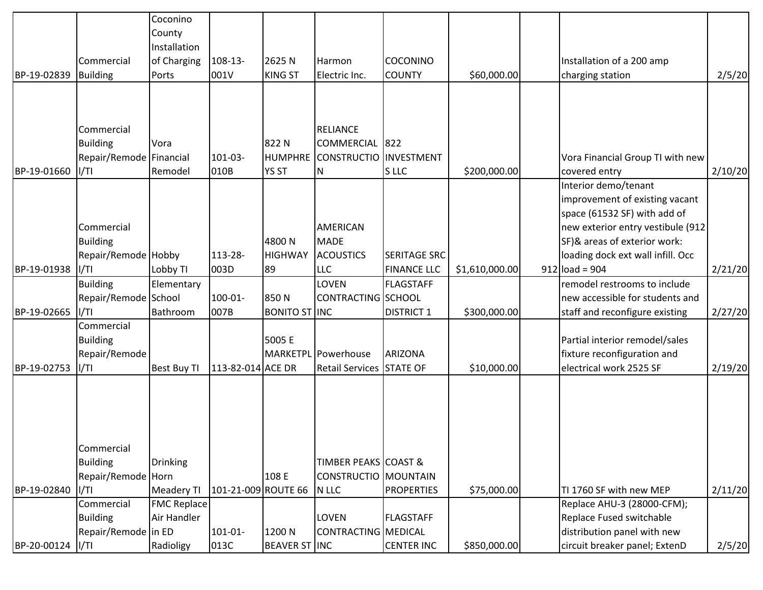|             |                         | Coconino           |                     |                      |                                 |                     |                 |                                   |         |
|-------------|-------------------------|--------------------|---------------------|----------------------|---------------------------------|---------------------|-----------------|-----------------------------------|---------|
|             |                         | County             |                     |                      |                                 |                     |                 |                                   |         |
|             |                         | Installation       |                     |                      |                                 |                     |                 |                                   |         |
|             | Commercial              | of Charging        | $108 - 13 -$        | 2625N                | Harmon                          | COCONINO            |                 | Installation of a 200 amp         |         |
| BP-19-02839 | Building                | Ports              | 001V                | <b>KING ST</b>       | Electric Inc.                   | <b>COUNTY</b>       | \$60,000.00     | charging station                  | 2/5/20  |
|             |                         |                    |                     |                      |                                 |                     |                 |                                   |         |
|             |                         |                    |                     |                      |                                 |                     |                 |                                   |         |
|             |                         |                    |                     |                      |                                 |                     |                 |                                   |         |
|             | Commercial              |                    |                     |                      | <b>RELIANCE</b>                 |                     |                 |                                   |         |
|             | <b>Building</b>         | Vora               |                     | 822N                 | COMMERCIAL 822                  |                     |                 |                                   |         |
|             | Repair/Remode Financial |                    | $101-03-$           | <b>HUMPHRE</b>       | CONSTRUCTIO INVESTMENT          |                     |                 | Vora Financial Group TI with new  |         |
| BP-19-01660 | I/TI                    | Remodel            | 010B                | <b>YS ST</b>         | N                               | S LLC               | \$200,000.00    | covered entry                     | 2/10/20 |
|             |                         |                    |                     |                      |                                 |                     |                 | Interior demo/tenant              |         |
|             |                         |                    |                     |                      |                                 |                     |                 | improvement of existing vacant    |         |
|             |                         |                    |                     |                      |                                 |                     |                 | space (61532 SF) with add of      |         |
|             | Commercial              |                    |                     |                      | <b>AMERICAN</b>                 |                     |                 | new exterior entry vestibule (912 |         |
|             | <b>Building</b>         |                    |                     | 4800N                | <b>MADE</b>                     |                     |                 | SF)& areas of exterior work:      |         |
|             | Repair/Remode Hobby     |                    | 113-28-             | <b>HIGHWAY</b>       | <b>ACOUSTICS</b>                | <b>SERITAGE SRC</b> |                 | loading dock ext wall infill. Occ |         |
| BP-19-01938 | I/TI                    | Lobby TI           | 003D                | 89                   | <b>LLC</b>                      | <b>FINANCE LLC</b>  | \$1,610,000.00] | $912$ load = 904                  | 2/21/20 |
|             | <b>Building</b>         | Elementary         |                     |                      | LOVEN                           | <b>FLAGSTAFF</b>    |                 | remodel restrooms to include      |         |
|             |                         |                    | 100-01-             | 850N                 | CONTRACTING SCHOOL              |                     |                 | new accessible for students and   |         |
|             | Repair/Remode School    | Bathroom           |                     | <b>BONITO ST INC</b> |                                 |                     |                 |                                   |         |
| BP-19-02665 | I/TI<br>Commercial      |                    | 007B                |                      |                                 | <b>DISTRICT 1</b>   | \$300,000.00    | staff and reconfigure existing    | 2/27/20 |
|             |                         |                    |                     |                      |                                 |                     |                 |                                   |         |
|             | <b>Building</b>         |                    |                     | 5005 E               |                                 |                     |                 | Partial interior remodel/sales    |         |
|             | Repair/Remode           |                    |                     |                      | MARKETPL Powerhouse             | <b>ARIZONA</b>      |                 | fixture reconfiguration and       |         |
| BP-19-02753 | II/TI                   | <b>Best Buy TI</b> | 113-82-014 ACE DR   |                      | Retail Services STATE OF        |                     | \$10,000.00]    | electrical work 2525 SF           | 2/19/20 |
|             |                         |                    |                     |                      |                                 |                     |                 |                                   |         |
|             |                         |                    |                     |                      |                                 |                     |                 |                                   |         |
|             |                         |                    |                     |                      |                                 |                     |                 |                                   |         |
|             |                         |                    |                     |                      |                                 |                     |                 |                                   |         |
|             |                         |                    |                     |                      |                                 |                     |                 |                                   |         |
|             | Commercial              |                    |                     |                      |                                 |                     |                 |                                   |         |
|             | <b>Building</b>         | Drinking           |                     |                      | <b>TIMBER PEAKS COAST &amp;</b> |                     |                 |                                   |         |
|             | Repair/Remode Horn      |                    |                     | 108 E                | CONSTRUCTIO   MOUNTAIN          |                     |                 |                                   |         |
| BP-19-02840 | I/TI                    | Meadery TI         | 101-21-009 ROUTE 66 |                      | N LLC                           | <b>PROPERTIES</b>   | \$75,000.00     | TI 1760 SF with new MEP           | 2/11/20 |
|             | Commercial              | <b>FMC Replace</b> |                     |                      |                                 |                     |                 | Replace AHU-3 (28000-CFM);        |         |
|             | <b>Building</b>         | Air Handler        |                     |                      | <b>LOVEN</b>                    | <b>FLAGSTAFF</b>    |                 | Replace Fused switchable          |         |
|             | Repair/Remode in ED     |                    | $101 - 01 -$        | 1200 N               | CONTRACTING MEDICAL             |                     |                 | distribution panel with new       |         |
| BP-20-00124 | II/TI                   | Radioligy          | 013C                | <b>BEAVER ST INC</b> |                                 | <b>CENTER INC</b>   | \$850,000.00    | circuit breaker panel; ExtenD     | 2/5/20  |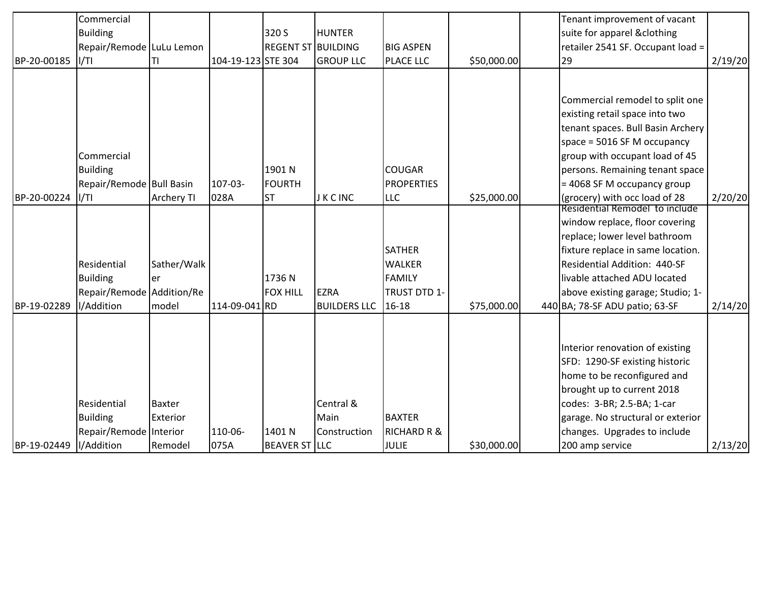| BP-20-00185 | Commercial<br><b>Building</b><br>Repair/Remode LuLu Lemon<br>II/TI        | ΤI                            | 104-19-123 STE 304 | 320 S<br><b>REGENT ST BUILDING</b>   | <b>HUNTER</b><br><b>GROUP LLC</b>  | <b>BIG ASPEN</b><br>PLACE LLC                                            | \$50,000.00 | Tenant improvement of vacant<br>suite for apparel &clothing<br>retailer 2541 SF. Occupant load =<br>29                                                                                                                                                                                                                                           | 2/19/20 |
|-------------|---------------------------------------------------------------------------|-------------------------------|--------------------|--------------------------------------|------------------------------------|--------------------------------------------------------------------------|-------------|--------------------------------------------------------------------------------------------------------------------------------------------------------------------------------------------------------------------------------------------------------------------------------------------------------------------------------------------------|---------|
| BP-20-00224 | Commercial<br><b>Building</b><br>Repair/Remode Bull Basin<br>II/TI        | <b>Archery TI</b>             | 107-03-<br>028A    | 1901 N<br><b>FOURTH</b><br><b>ST</b> | <b>JKCINC</b>                      | <b>COUGAR</b><br><b>PROPERTIES</b><br><b>LLC</b>                         | \$25,000.00 | Commercial remodel to split one<br>existing retail space into two<br>tenant spaces. Bull Basin Archery<br>space = $5016$ SF M occupancy<br>group with occupant load of 45<br>persons. Remaining tenant space<br>= 4068 SF M occupancy group<br>(grocery) with occ load of 28<br>Residential Remodel to include<br>window replace, floor covering | 2/20/20 |
| BP-19-02289 | Residential<br><b>Building</b><br>Repair/Remode Addition/Re<br>I/Addition | Sather/Walk<br>ler<br>model   | 114-09-041 RD      | 1736N<br><b>FOX HILL</b>             | <b>EZRA</b><br><b>BUILDERS LLC</b> | <b>SATHER</b><br><b>WALKER</b><br><b>FAMILY</b><br>TRUST DTD 1-<br>16-18 | \$75,000.00 | replace; lower level bathroom<br>fixture replace in same location.<br>Residential Addition: 440-SF<br>livable attached ADU located<br>above existing garage; Studio; 1-<br>440 BA; 78-SF ADU patio; 63-SF                                                                                                                                        | 2/14/20 |
| BP-19-02449 | Residential<br><b>Building</b><br>Repair/Remode Interior<br>I/Addition    | Baxter<br>Exterior<br>Remodel | 110-06-<br>075A    | 1401 N<br><b>BEAVER ST LLC</b>       | Central &<br>Main<br>Construction  | <b>BAXTER</b><br><b>RICHARD R &amp;</b><br><b>JULIE</b>                  | \$30,000.00 | Interior renovation of existing<br>SFD: 1290-SF existing historic<br>home to be reconfigured and<br>brought up to current 2018<br>codes: 3-BR; 2.5-BA; 1-car<br>garage. No structural or exterior<br>changes. Upgrades to include<br>200 amp service                                                                                             | 2/13/20 |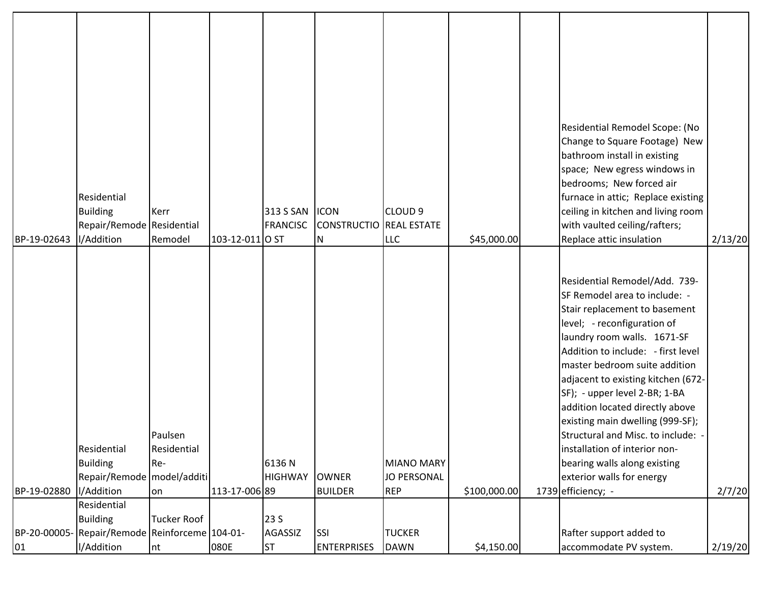| BP-19-02643  | Residential<br><b>Building</b><br>Repair/Remode Residential<br>I/Addition    | Kerr<br>Remodel                     | 103-12-011 O ST | 313 S SAN<br><b>FRANCISC</b> | <b>ICON</b><br>CONSTRUCTIO REAL ESTATE<br>IN. | CLOUD <sub>9</sub><br><b>LLC</b>               | \$45,000.00  | Residential Remodel Scope: (No<br>Change to Square Footage) New<br>bathroom install in existing<br>space; New egress windows in<br>bedrooms; New forced air<br>furnace in attic; Replace existing<br>ceiling in kitchen and living room<br>with vaulted ceiling/rafters;<br>Replace attic insulation                                                                                                                                                                                                                                         | 2/13/20 |
|--------------|------------------------------------------------------------------------------|-------------------------------------|-----------------|------------------------------|-----------------------------------------------|------------------------------------------------|--------------|----------------------------------------------------------------------------------------------------------------------------------------------------------------------------------------------------------------------------------------------------------------------------------------------------------------------------------------------------------------------------------------------------------------------------------------------------------------------------------------------------------------------------------------------|---------|
| BP-19-02880  | Residential<br><b>Building</b><br>Repair/Remode   model/additi<br>I/Addition | Paulsen<br>Residential<br>Re-<br>on | 113-17-006 89   | 6136N<br><b>HIGHWAY</b>      | <b>OWNER</b><br><b>BUILDER</b>                | MIANO MARY<br><b>JO PERSONAL</b><br><b>REP</b> | \$100,000.00 | Residential Remodel/Add. 739-<br>SF Remodel area to include: -<br>Stair replacement to basement<br>level; - reconfiguration of<br>laundry room walls. 1671-SF<br>Addition to include: - first level<br>master bedroom suite addition<br>adjacent to existing kitchen (672-<br>SF); - upper level 2-BR; 1-BA<br>addition located directly above<br>existing main dwelling (999-SF);<br>Structural and Misc. to include: -<br>installation of interior non-<br>bearing walls along existing<br>exterior walls for energy<br>1739 efficiency; - | 2/7/20  |
| BP-20-00005- | Residential<br><b>Building</b><br>Repair/Remode Reinforceme 104-01-          | Tucker Roof                         |                 | 23 S<br><b>AGASSIZ</b>       | <b>SSI</b>                                    | <b>TUCKER</b>                                  |              | Rafter support added to                                                                                                                                                                                                                                                                                                                                                                                                                                                                                                                      |         |
| 01           | I/Addition                                                                   | $\ln t$                             | 080E            | <b>ST</b>                    | <b>ENTERPRISES</b>                            | <b>DAWN</b>                                    | \$4,150.00   | accommodate PV system.                                                                                                                                                                                                                                                                                                                                                                                                                                                                                                                       | 2/19/20 |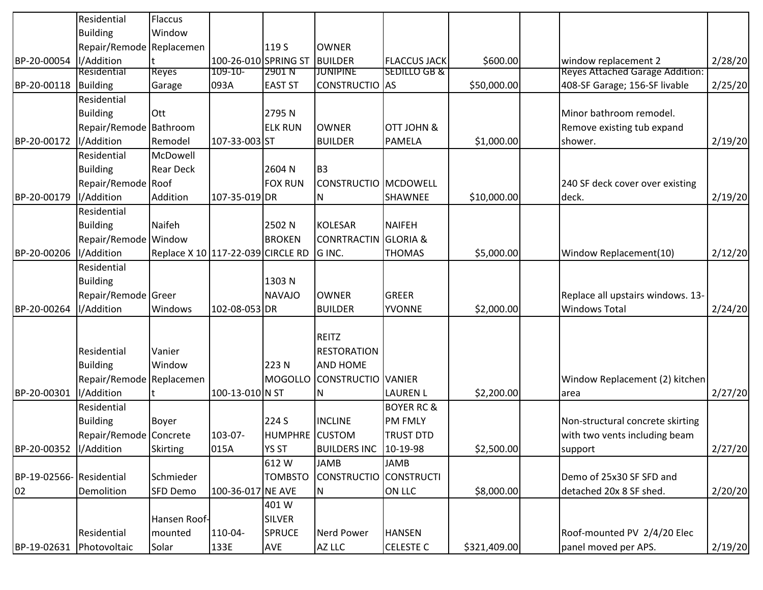|                         | Residential              | <b>Flaccus</b>                    |                      |                |                        |                         |              |                                        |         |
|-------------------------|--------------------------|-----------------------------------|----------------------|----------------|------------------------|-------------------------|--------------|----------------------------------------|---------|
|                         | <b>Building</b>          | Window                            |                      |                |                        |                         |              |                                        |         |
|                         | Repair/Remode Replacemen |                                   |                      | 119 S          | <b>OWNER</b>           |                         |              |                                        |         |
| BP-20-00054             | I/Addition               |                                   | 100-26-010 SPRING ST |                | <b>BUILDER</b>         | <b>FLACCUS JACK</b>     | \$600.00     | window replacement 2                   | 2/28/20 |
|                         | Residential              | <b>Reyes</b>                      | 109-10-              | 2901 N         | <b>JUNIPINE</b>        | <b>SEDILLO GB &amp;</b> |              | <b>Reyes Attached Garage Addition:</b> |         |
| BP-20-00118             | Building                 | Garage                            | 093A                 | <b>EAST ST</b> | CONSTRUCTIO AS         |                         | \$50,000.00  | 408-SF Garage; 156-SF livable          | 2/25/20 |
|                         | Residential              |                                   |                      |                |                        |                         |              |                                        |         |
|                         | <b>Building</b>          | Ott                               |                      | 2795N          |                        |                         |              | Minor bathroom remodel.                |         |
|                         | Repair/Remode Bathroom   |                                   |                      | <b>ELK RUN</b> | <b>OWNER</b>           | <b>OTT JOHN &amp;</b>   |              | Remove existing tub expand             |         |
| BP-20-00172             | I/Addition               | Remodel                           | 107-33-003 ST        |                | <b>BUILDER</b>         | PAMELA                  | \$1,000.00   | shower.                                | 2/19/20 |
|                         | Residential              | McDowell                          |                      |                |                        |                         |              |                                        |         |
|                         | <b>Building</b>          | <b>Rear Deck</b>                  |                      | 2604 N         | B <sub>3</sub>         |                         |              |                                        |         |
|                         | Repair/Remode Roof       |                                   |                      | <b>FOX RUN</b> | CONSTRUCTIO   MCDOWELL |                         |              | 240 SF deck cover over existing        |         |
| BP-20-00179             | I/Addition               | Addition                          | 107-35-019 DR        |                | N                      | SHAWNEE                 | \$10,000.00  | deck.                                  | 2/19/20 |
|                         | Residential              |                                   |                      |                |                        |                         |              |                                        |         |
|                         | <b>Building</b>          | Naifeh                            |                      | 2502 N         | <b>KOLESAR</b>         | <b>NAIFEH</b>           |              |                                        |         |
|                         | Repair/Remode Window     |                                   |                      | <b>BROKEN</b>  | CONRTRACTIN            | <b>GLORIA &amp;</b>     |              |                                        |         |
| BP-20-00206             | I/Addition               | Replace X 10 117-22-039 CIRCLE RD |                      |                | G INC.                 | <b>THOMAS</b>           | \$5,000.00   | Window Replacement(10)                 | 2/12/20 |
|                         | Residential              |                                   |                      |                |                        |                         |              |                                        |         |
|                         | <b>Building</b>          |                                   |                      | 1303N          |                        |                         |              |                                        |         |
|                         | Repair/Remode Greer      |                                   |                      | <b>NAVAJO</b>  | <b>OWNER</b>           | <b>GREER</b>            |              | Replace all upstairs windows. 13-      |         |
| BP-20-00264             | I/Addition               | Windows                           | 102-08-053 DR        |                | <b>BUILDER</b>         | <b>YVONNE</b>           | \$2,000.00]  | <b>Windows Total</b>                   | 2/24/20 |
|                         |                          |                                   |                      |                |                        |                         |              |                                        |         |
|                         |                          |                                   |                      |                | <b>REITZ</b>           |                         |              |                                        |         |
|                         | Residential              | Vanier                            |                      |                | <b>RESTORATION</b>     |                         |              |                                        |         |
|                         | <b>Building</b>          | Window                            |                      | 223N           | <b>AND HOME</b>        |                         |              |                                        |         |
|                         | Repair/Remode Replacemen |                                   |                      | MOGOLLO        | CONSTRUCTIO VANIER     |                         |              | Window Replacement (2) kitchen         |         |
| BP-20-00301             | I/Addition               |                                   | 100-13-010 N ST      |                | N                      | <b>LAUREN L</b>         | \$2,200.00   | area                                   | 2/27/20 |
|                         | Residential              |                                   |                      |                |                        | <b>BOYER RC &amp;</b>   |              |                                        |         |
|                         | <b>Building</b>          | Boyer                             |                      | 224 S          | <b>INCLINE</b>         | <b>PM FMLY</b>          |              | Non-structural concrete skirting       |         |
|                         | Repair/Remode Concrete   |                                   | 103-07-              | <b>HUMPHRE</b> | <b>CUSTOM</b>          | <b>TRUST DTD</b>        |              | with two vents including beam          |         |
| BP-20-00352  I/Addition |                          | <b>Skirting</b>                   | 015A                 | <b>YS ST</b>   | BUILDERS INC 10-19-98  |                         | \$2,500.00   | support                                | 2/27/20 |
|                         |                          |                                   |                      | 612W           | <b>JAMB</b>            | <b>JAMB</b>             |              |                                        |         |
| BP-19-02566-Residential |                          | Schmieder                         |                      | <b>TOMBSTO</b> | <b>CONSTRUCTIO</b>     | <b>CONSTRUCTI</b>       |              | Demo of 25x30 SF SFD and               |         |
| 02                      | Demolition               | SFD Demo                          | 100-36-017 NE AVE    |                | N                      | ON LLC                  | \$8,000.00   | detached 20x 8 SF shed.                | 2/20/20 |
|                         |                          |                                   |                      | 401 W          |                        |                         |              |                                        |         |
|                         |                          | Hansen Roof-                      |                      | <b>SILVER</b>  |                        |                         |              |                                        |         |
|                         | Residential              | mounted                           | 110-04-              | <b>SPRUCE</b>  | Nerd Power             | <b>HANSEN</b>           |              | Roof-mounted PV 2/4/20 Elec            |         |
| BP-19-02631             |                          | Solar                             |                      |                |                        | <b>CELESTE C</b>        | \$321,409.00 | panel moved per APS.                   |         |
|                         | Photovoltaic             |                                   | 133E                 | <b>AVE</b>     | AZ LLC                 |                         |              |                                        | 2/19/20 |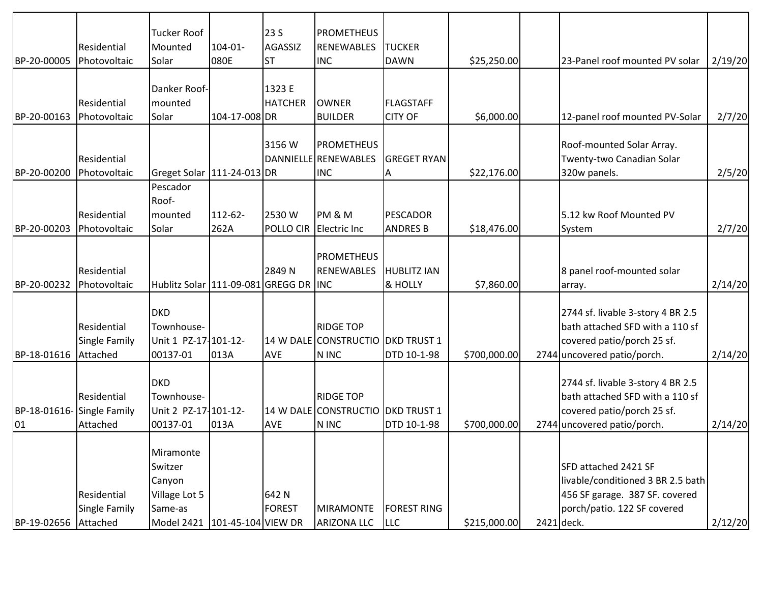|              |                      | <b>Tucker Roof</b>                        |                    | 23 S             | <b>PROMETHEUS</b>                 |                    |              |                                   |         |
|--------------|----------------------|-------------------------------------------|--------------------|------------------|-----------------------------------|--------------------|--------------|-----------------------------------|---------|
|              | Residential          | Mounted                                   | $104 - 01 -$       | <b>AGASSIZ</b>   | <b>RENEWABLES</b>                 | <b>TUCKER</b>      |              |                                   |         |
| BP-20-00005  | Photovoltaic         | Solar                                     | 080E               | <b>ST</b>        | <b>INC</b>                        | <b>DAWN</b>        | \$25,250.00  | 23-Panel roof mounted PV solar    | 2/19/20 |
|              |                      | Danker Roof-                              |                    | 1323 E           |                                   |                    |              |                                   |         |
|              | Residential          | mounted                                   |                    | <b>HATCHER</b>   | <b>OWNER</b>                      | <b>FLAGSTAFF</b>   |              |                                   |         |
| BP-20-00163  | Photovoltaic         | Solar                                     | 104-17-008 DR      |                  | <b>BUILDER</b>                    | <b>CITY OF</b>     | \$6,000.00]  | 12-panel roof mounted PV-Solar    | 2/7/20  |
|              |                      |                                           |                    |                  |                                   |                    |              |                                   |         |
|              |                      |                                           |                    | 3156W            | <b>PROMETHEUS</b>                 |                    |              | Roof-mounted Solar Array.         |         |
|              | Residential          |                                           |                    |                  | DANNIELLE RENEWABLES              | <b>GREGET RYAN</b> |              | Twenty-two Canadian Solar         |         |
| BP-20-00200  | Photovoltaic         | Greget Solar   111-24-013   DR            |                    |                  | <b>INC</b>                        | Α                  | \$22,176.00  | 320w panels.                      | 2/5/20  |
|              |                      | Pescador                                  |                    |                  |                                   |                    |              |                                   |         |
|              |                      | Roof-                                     |                    |                  |                                   |                    |              |                                   |         |
|              | Residential          | mounted                                   | 112-62-            | 2530 W           | PM & M                            | <b>PESCADOR</b>    |              | 5.12 kw Roof Mounted PV           |         |
| BP-20-00203  | Photovoltaic         | Solar                                     | 262A               | <b>POLLO CIR</b> | <b>Electric Inc</b>               | <b>ANDRES B</b>    | \$18,476.00  | System                            | 2/7/20  |
|              |                      |                                           |                    |                  |                                   |                    |              |                                   |         |
|              |                      |                                           |                    |                  | <b>PROMETHEUS</b>                 |                    |              |                                   |         |
|              | Residential          |                                           |                    | 2849N            | <b>RENEWABLES</b>                 | <b>HUBLITZ IAN</b> |              | 8 panel roof-mounted solar        |         |
| BP-20-00232  | Photovoltaic         | Hublitz Solar   111-09-081 GREGG DR   INC |                    |                  |                                   | & HOLLY            | \$7,860.00   | array.                            | 2/14/20 |
|              |                      |                                           |                    |                  |                                   |                    |              |                                   |         |
|              |                      | <b>DKD</b>                                |                    |                  |                                   |                    |              | 2744 sf. livable 3-story 4 BR 2.5 |         |
|              | Residential          | Townhouse-                                |                    |                  | <b>RIDGE TOP</b>                  |                    |              | bath attached SFD with a 110 sf   |         |
|              | <b>Single Family</b> | Unit 1 PZ-17-101-12-                      |                    |                  | 14 W DALE CONSTRUCTIO DKD TRUST 1 |                    |              | covered patio/porch 25 sf.        |         |
| BP-18-01616  | Attached             | 00137-01                                  | 013A               | <b>AVE</b>       | N INC                             | DTD 10-1-98        | \$700,000.00 | 2744 uncovered patio/porch.       | 2/14/20 |
|              |                      |                                           |                    |                  |                                   |                    |              |                                   |         |
|              |                      | <b>DKD</b>                                |                    |                  |                                   |                    |              | 2744 sf. livable 3-story 4 BR 2.5 |         |
|              | Residential          | Townhouse-                                |                    |                  | <b>RIDGE TOP</b>                  |                    |              | bath attached SFD with a 110 sf   |         |
| BP-18-01616- | Single Family        | Unit 2 PZ-17-101-12-                      |                    |                  | 14 W DALE CONSTRUCTIO DKD TRUST 1 |                    |              | covered patio/porch 25 sf.        |         |
| 01           | Attached             | 00137-01                                  | 013A               | <b>AVE</b>       | N INC                             | DTD 10-1-98        | \$700,000.00 | 2744 uncovered patio/porch.       | 2/14/20 |
|              |                      |                                           |                    |                  |                                   |                    |              |                                   |         |
|              |                      | Miramonte                                 |                    |                  |                                   |                    |              |                                   |         |
|              |                      | Switzer                                   |                    |                  |                                   |                    |              | SFD attached 2421 SF              |         |
|              |                      | Canyon                                    |                    |                  |                                   |                    |              | livable/conditioned 3 BR 2.5 bath |         |
|              | Residential          | Village Lot 5                             |                    | 642N             |                                   |                    |              | 456 SF garage. 387 SF. covered    |         |
|              | Single Family        | Same-as                                   |                    | <b>FOREST</b>    | <b>MIRAMONTE</b>                  | <b>FOREST RING</b> |              | porch/patio. 122 SF covered       |         |
| BP-19-02656  | Attached             | Model 2421                                | 101-45-104 VIEW DR |                  | <b>ARIZONA LLC</b>                | <b>LLC</b>         | \$215,000.00 | 2421 deck.                        | 2/12/20 |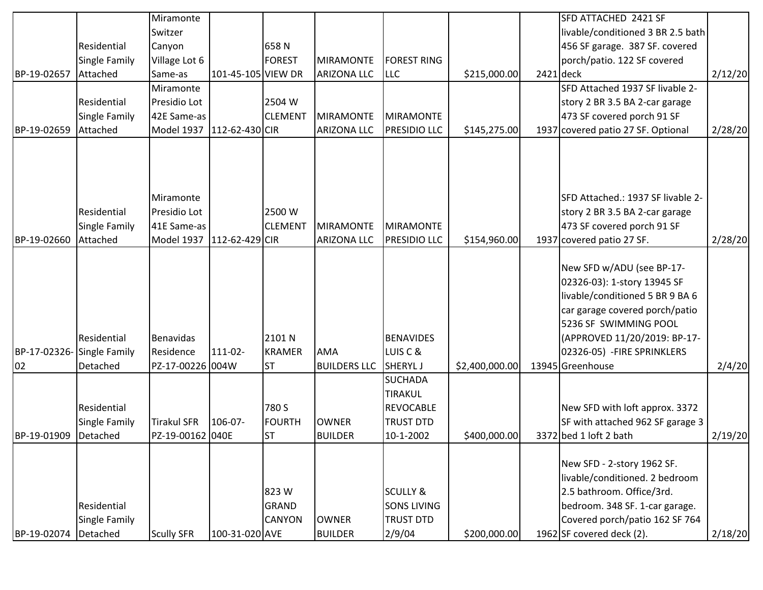|             |                                     | Miramonte                 |                    |                                       |                     |                                                                          |                | SFD ATTACHED 2421 SF                                                                                                                                                                   |         |
|-------------|-------------------------------------|---------------------------|--------------------|---------------------------------------|---------------------|--------------------------------------------------------------------------|----------------|----------------------------------------------------------------------------------------------------------------------------------------------------------------------------------------|---------|
|             |                                     | Switzer                   |                    |                                       |                     |                                                                          |                | livable/conditioned 3 BR 2.5 bath                                                                                                                                                      |         |
|             | Residential                         | Canyon                    |                    | 658N                                  |                     |                                                                          |                | 456 SF garage. 387 SF. covered                                                                                                                                                         |         |
|             | <b>Single Family</b>                | Village Lot 6             |                    | <b>FOREST</b>                         | MIRAMONTE           | <b>FOREST RING</b>                                                       |                | porch/patio. 122 SF covered                                                                                                                                                            |         |
| BP-19-02657 | Attached                            | Same-as                   | 101-45-105 VIEW DR |                                       | <b>ARIZONA LLC</b>  | <b>LLC</b>                                                               | \$215,000.00   | $2421$ deck                                                                                                                                                                            | 2/12/20 |
|             |                                     | Miramonte                 |                    |                                       |                     |                                                                          |                | SFD Attached 1937 SF livable 2-                                                                                                                                                        |         |
|             | Residential                         | Presidio Lot              |                    | 2504 W                                |                     |                                                                          |                | story 2 BR 3.5 BA 2-car garage                                                                                                                                                         |         |
|             | <b>Single Family</b>                | 42E Same-as               |                    | <b>CLEMENT</b>                        | <b>MIRAMONTE</b>    | <b>MIRAMONTE</b>                                                         |                | 473 SF covered porch 91 SF                                                                                                                                                             |         |
| BP-19-02659 | Attached                            | Model 1937 112-62-430 CIR |                    |                                       | <b>ARIZONA LLC</b>  | <b>PRESIDIO LLC</b>                                                      | \$145,275.00   | 1937 covered patio 27 SF. Optional                                                                                                                                                     | 2/28/20 |
|             |                                     |                           |                    |                                       |                     |                                                                          |                |                                                                                                                                                                                        |         |
|             |                                     | Miramonte                 |                    |                                       |                     |                                                                          |                | SFD Attached.: 1937 SF livable 2-                                                                                                                                                      |         |
|             | Residential                         | Presidio Lot              |                    | 2500 W                                |                     |                                                                          |                | story 2 BR 3.5 BA 2-car garage                                                                                                                                                         |         |
|             | <b>Single Family</b>                | 41E Same-as               |                    | <b>CLEMENT</b>                        | <b>MIRAMONTE</b>    | <b>MIRAMONTE</b>                                                         |                | 473 SF covered porch 91 SF                                                                                                                                                             |         |
| BP-19-02660 | Attached                            | Model 1937 112-62-429 CIR |                    |                                       | <b>ARIZONA LLC</b>  | <b>PRESIDIO LLC</b>                                                      | \$154,960.00   | 1937 covered patio 27 SF.                                                                                                                                                              | 2/28/20 |
|             | Residential                         | Benavidas                 |                    | 2101 N                                |                     | <b>BENAVIDES</b>                                                         |                | New SFD w/ADU (see BP-17-<br>02326-03): 1-story 13945 SF<br>livable/conditioned 5 BR 9 BA 6<br>car garage covered porch/patio<br>5236 SF SWIMMING POOL<br>(APPROVED 11/20/2019: BP-17- |         |
|             | BP-17-02326-Single Family           | Residence                 | 111-02-            | <b>KRAMER</b>                         | <b>AMA</b>          | LUIS C &                                                                 |                | 02326-05) - FIRE SPRINKLERS                                                                                                                                                            |         |
| 02          | Detached                            | PZ-17-00226 004W          |                    | <b>ST</b>                             | <b>BUILDERS LLC</b> | <b>SHERYLJ</b>                                                           | \$2,400,000.00 | 13945 Greenhouse                                                                                                                                                                       | 2/4/20  |
|             | Residential<br><b>Single Family</b> | <b>Tirakul SFR</b>        | 106-07-            | 780 S<br><b>FOURTH</b>                | <b>OWNER</b>        | <b>SUCHADA</b><br><b>TIRAKUL</b><br><b>REVOCABLE</b><br><b>TRUST DTD</b> |                | New SFD with loft approx. 3372<br>SF with attached 962 SF garage 3                                                                                                                     |         |
| BP-19-01909 | Detached                            | PZ-19-00162 040E          |                    | <b>ST</b>                             | <b>BUILDER</b>      | 10-1-2002                                                                | \$400,000.00   | 3372 bed 1 loft 2 bath                                                                                                                                                                 | 2/19/20 |
|             | Residential<br>Single Family        |                           |                    | 823W<br><b>GRAND</b><br><b>CANYON</b> | <b>OWNER</b>        | <b>SCULLY &amp;</b><br><b>SONS LIVING</b><br><b>TRUST DTD</b>            |                | New SFD - 2-story 1962 SF.<br>livable/conditioned. 2 bedroom<br>2.5 bathroom. Office/3rd.<br>bedroom. 348 SF. 1-car garage.<br>Covered porch/patio 162 SF 764                          |         |
| BP-19-02074 | Detached                            | Scully SFR                | 100-31-020 AVE     |                                       | <b>BUILDER</b>      | 2/9/04                                                                   | \$200,000.00   | 1962 SF covered deck (2).                                                                                                                                                              | 2/18/20 |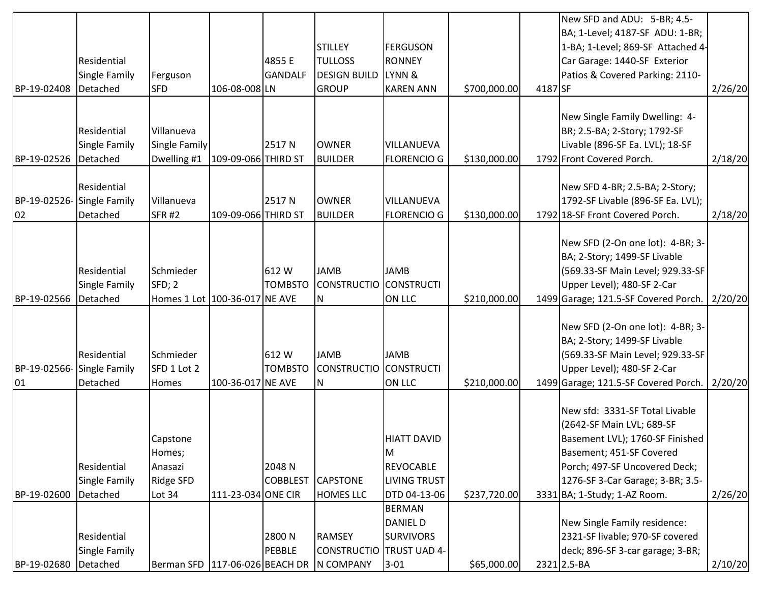|              |               |                                |                     |                 |                     |                     |              |         | New SFD and ADU: 5-BR; 4.5-                                         |         |
|--------------|---------------|--------------------------------|---------------------|-----------------|---------------------|---------------------|--------------|---------|---------------------------------------------------------------------|---------|
|              |               |                                |                     |                 |                     |                     |              |         | BA; 1-Level; 4187-SF ADU: 1-BR;                                     |         |
|              |               |                                |                     |                 | <b>STILLEY</b>      | <b>FERGUSON</b>     |              |         | 1-BA; 1-Level; 869-SF Attached 4-                                   |         |
|              | Residential   |                                |                     | 4855 E          | <b>TULLOSS</b>      | <b>RONNEY</b>       |              |         | Car Garage: 1440-SF Exterior                                        |         |
|              | Single Family | Ferguson                       |                     | <b>GANDALF</b>  | <b>DESIGN BUILD</b> | LYNN &              |              |         | Patios & Covered Parking: 2110-                                     |         |
| BP-19-02408  | Detached      | <b>SFD</b>                     | 106-08-008 LN       |                 | <b>GROUP</b>        | <b>KAREN ANN</b>    | \$700,000.00 | 4187 SF |                                                                     | 2/26/20 |
|              |               |                                |                     |                 |                     |                     |              |         |                                                                     |         |
|              |               |                                |                     |                 |                     |                     |              |         | New Single Family Dwelling: 4-                                      |         |
|              | Residential   | Villanueva                     |                     |                 |                     |                     |              |         | BR; 2.5-BA; 2-Story; 1792-SF                                        |         |
|              | Single Family | Single Family                  |                     | 2517N           | <b>OWNER</b>        | VILLANUEVA          |              |         | Livable (896-SF Ea. LVL); 18-SF                                     |         |
| BP-19-02526  | Detached      | Dwelling #1                    | 109-09-066 THIRD ST |                 | <b>BUILDER</b>      | <b>FLORENCIO G</b>  | \$130,000.00 |         | 1792 Front Covered Porch.                                           | 2/18/20 |
|              | Residential   |                                |                     |                 |                     |                     |              |         |                                                                     |         |
| BP-19-02526- | Single Family | Villanueva                     |                     | 2517 N          | <b>OWNER</b>        | VILLANUEVA          |              |         | New SFD 4-BR; 2.5-BA; 2-Story;<br>1792-SF Livable (896-SF Ea. LVL); |         |
| 02           | Detached      | SFR <sub>#2</sub>              | 109-09-066 THIRD ST |                 | <b>BUILDER</b>      | <b>FLORENCIO G</b>  | \$130,000.00 |         | 1792 18-SF Front Covered Porch.                                     |         |
|              |               |                                |                     |                 |                     |                     |              |         |                                                                     | 2/18/20 |
|              |               |                                |                     |                 |                     |                     |              |         | New SFD (2-On one lot): 4-BR; 3-                                    |         |
|              |               |                                |                     |                 |                     |                     |              |         | BA; 2-Story; 1499-SF Livable                                        |         |
|              | Residential   | Schmieder                      |                     | 612W            | <b>JAMB</b>         | <b>JAMB</b>         |              |         | (569.33-SF Main Level; 929.33-SF                                    |         |
|              | Single Family | SFD; 2                         |                     | <b>TOMBSTO</b>  | <b>CONSTRUCTIO</b>  | <b>CONSTRUCTI</b>   |              |         | Upper Level); 480-SF 2-Car                                          |         |
| BP-19-02566  | Detached      | Homes 1 Lot 100-36-017 NE AVE  |                     |                 | N                   | ON LLC              | \$210,000.00 |         | 1499 Garage; 121.5-SF Covered Porch.   2/20/20                      |         |
|              |               |                                |                     |                 |                     |                     |              |         |                                                                     |         |
|              |               |                                |                     |                 |                     |                     |              |         | New SFD (2-On one lot): 4-BR; 3-                                    |         |
|              |               |                                |                     |                 |                     |                     |              |         | BA; 2-Story; 1499-SF Livable                                        |         |
|              | Residential   | Schmieder                      |                     | 612W            | <b>JAMB</b>         | <b>JAMB</b>         |              |         | (569.33-SF Main Level; 929.33-SF                                    |         |
| BP-19-02566- | Single Family | SFD 1 Lot 2                    |                     | <b>TOMBSTO</b>  | <b>CONSTRUCTIO</b>  | <b>CONSTRUCTI</b>   |              |         | Upper Level); 480-SF 2-Car                                          |         |
| 01           | Detached      | <b>Homes</b>                   | 100-36-017 NE AVE   |                 | N                   | ON LLC              | \$210,000.00 |         | 1499 Garage; 121.5-SF Covered Porch.   2/20/20                      |         |
|              |               |                                |                     |                 |                     |                     |              |         |                                                                     |         |
|              |               |                                |                     |                 |                     |                     |              |         | New sfd: 3331-SF Total Livable                                      |         |
|              |               |                                |                     |                 |                     |                     |              |         | (2642-SF Main LVL; 689-SF                                           |         |
|              |               | Capstone                       |                     |                 |                     | <b>HIATT DAVID</b>  |              |         | Basement LVL); 1760-SF Finished                                     |         |
|              |               | Homes;                         |                     |                 |                     | M                   |              |         | Basement; 451-SF Covered                                            |         |
|              | Residential   | Anasazi                        |                     | 2048 N          |                     | <b>REVOCABLE</b>    |              |         | Porch; 497-SF Uncovered Deck;                                       |         |
|              | Single Family | Ridge SFD                      |                     | <b>COBBLEST</b> | <b>CAPSTONE</b>     | <b>LIVING TRUST</b> |              |         | 1276-SF 3-Car Garage; 3-BR; 3.5-                                    |         |
| BP-19-02600  | Detached      | Lot 34                         | 111-23-034 ONE CIR  |                 | <b>HOMES LLC</b>    | DTD 04-13-06        | \$237,720.00 |         | 3331 BA; 1-Study; 1-AZ Room.                                        | 2/26/20 |
|              |               |                                |                     |                 |                     | <b>BERMAN</b>       |              |         |                                                                     |         |
|              |               |                                |                     |                 |                     | <b>DANIEL D</b>     |              |         | New Single Family residence:                                        |         |
|              | Residential   |                                |                     | 2800N           | <b>RAMSEY</b>       | <b>SURVIVORS</b>    |              |         | 2321-SF livable; 970-SF covered                                     |         |
|              | Single Family |                                |                     | <b>PEBBLE</b>   | <b>CONSTRUCTIO</b>  | TRUST UAD 4-        |              |         | deck; 896-SF 3-car garage; 3-BR;                                    |         |
| BP-19-02680  | Detached      | Berman SFD 117-06-026 BEACH DR |                     |                 | N COMPANY           | $3 - 01$            | \$65,000.00  |         | 2321 2.5-BA                                                         | 2/10/20 |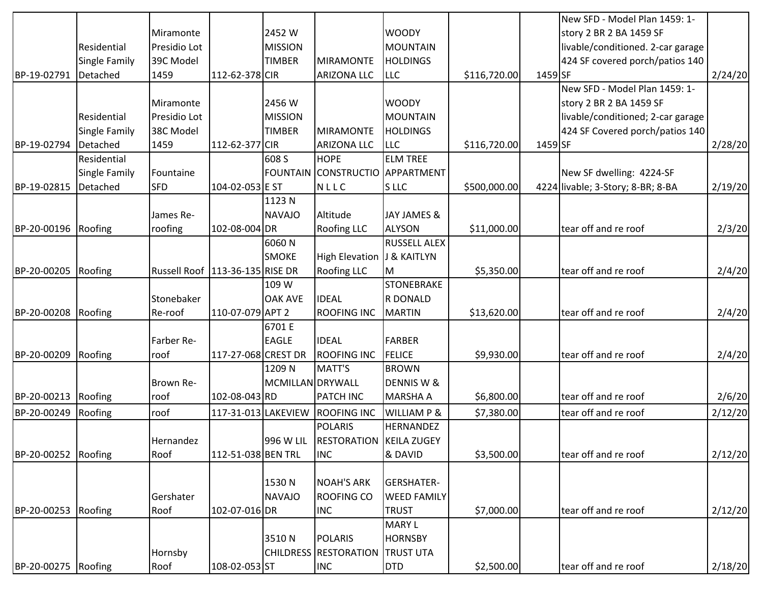|                     |               |                                     |                     |                  |                                   |                        |              |         | New SFD - Model Plan 1459: 1-     |         |
|---------------------|---------------|-------------------------------------|---------------------|------------------|-----------------------------------|------------------------|--------------|---------|-----------------------------------|---------|
|                     |               | Miramonte                           |                     | 2452W            |                                   | <b>WOODY</b>           |              |         | story 2 BR 2 BA 1459 SF           |         |
|                     | Residential   | Presidio Lot                        |                     | <b>MISSION</b>   |                                   | <b>MOUNTAIN</b>        |              |         | livable/conditioned. 2-car garage |         |
|                     | Single Family | 39C Model                           |                     | <b>TIMBER</b>    | <b>MIRAMONTE</b>                  | <b>HOLDINGS</b>        |              |         | 424 SF covered porch/patios 140   |         |
| BP-19-02791         | Detached      | 1459                                | 112-62-378 CIR      |                  | <b>ARIZONA LLC</b>                | <b>LLC</b>             | \$116,720.00 | 1459 SF |                                   | 2/24/20 |
|                     |               |                                     |                     |                  |                                   |                        |              |         | New SFD - Model Plan 1459: 1-     |         |
|                     |               | Miramonte                           |                     | 2456 W           |                                   | <b>WOODY</b>           |              |         | story 2 BR 2 BA 1459 SF           |         |
|                     | Residential   | Presidio Lot                        |                     | <b>MISSION</b>   |                                   | <b>MOUNTAIN</b>        |              |         | livable/conditioned; 2-car garage |         |
|                     | Single Family | 38C Model                           |                     | <b>TIMBER</b>    | <b>MIRAMONTE</b>                  | <b>HOLDINGS</b>        |              |         | 424 SF Covered porch/patios 140   |         |
| BP-19-02794         | Detached      | 1459                                | 112-62-377 CIR      |                  | <b>ARIZONA LLC</b>                | <b>LLC</b>             | \$116,720.00 | 1459 SF |                                   | 2/28/20 |
|                     | Residential   |                                     |                     | 608 S            | <b>HOPE</b>                       | <b>ELM TREE</b>        |              |         |                                   |         |
|                     | Single Family | Fountaine                           |                     |                  | FOUNTAIN CONSTRUCTIO APPARTMENT   |                        |              |         | New SF dwelling: 4224-SF          |         |
| BP-19-02815         | Detached      | <b>SFD</b>                          | 104-02-053 E ST     |                  | NLLC                              | S LLC                  | \$500,000.00 |         | 4224 livable; 3-Story; 8-BR; 8-BA | 2/19/20 |
|                     |               |                                     |                     | 1123N            |                                   |                        |              |         |                                   |         |
|                     |               | James Re-                           |                     | <b>NAVAJO</b>    | Altitude                          | JAY JAMES &            |              |         |                                   |         |
| BP-20-00196         | Roofing       | roofing                             | 102-08-004 DR       |                  | <b>Roofing LLC</b>                | <b>ALYSON</b>          | \$11,000.00] |         | tear off and re roof              | 2/3/20  |
|                     |               |                                     |                     | 6060N            |                                   | <b>RUSSELL ALEX</b>    |              |         |                                   |         |
|                     |               |                                     |                     | <b>SMOKE</b>     | High Elevation J & KAITLYN        |                        |              |         |                                   |         |
| BP-20-00205         | Roofing       | Russell Roof   113-36-135   RISE DR |                     |                  | <b>Roofing LLC</b>                | M                      | \$5,350.00   |         | tear off and re roof              | 2/4/20  |
|                     |               |                                     |                     | 109 W            |                                   | <b>STONEBRAKE</b>      |              |         |                                   |         |
|                     |               | Stonebaker                          |                     | <b>OAK AVE</b>   | <b>IDEAL</b>                      | R DONALD               |              |         |                                   |         |
| BP-20-00208         | Roofing       | Re-roof                             | 110-07-079 APT 2    |                  | <b>ROOFING INC</b>                | <b>MARTIN</b>          | \$13,620.00  |         | tear off and re roof              | 2/4/20  |
|                     |               |                                     |                     | 6701 E           |                                   |                        |              |         |                                   |         |
|                     |               | Farber Re-                          |                     | <b>EAGLE</b>     | <b>IDEAL</b>                      | <b>FARBER</b>          |              |         |                                   |         |
| BP-20-00209         | Roofing       | roof                                | 117-27-068 CREST DR |                  | <b>ROOFING INC</b>                | <b>FELICE</b>          | \$9,930.00   |         | tear off and re roof              | 2/4/20  |
|                     |               |                                     |                     | 1209 N           | MATT'S                            | <b>BROWN</b>           |              |         |                                   |         |
|                     |               | Brown Re-                           |                     | MCMILLAN DRYWALL |                                   | DENNIS W &             |              |         |                                   |         |
| BP-20-00213         | Roofing       | roof                                | 102-08-043 RD       |                  | <b>PATCH INC</b>                  | <b>MARSHA A</b>        | \$6,800.00   |         | tear off and re roof              | 2/6/20  |
| BP-20-00249         | Roofing       | roof                                | 117-31-013 LAKEVIEW |                  | <b>ROOFING INC</b>                | <b>WILLIAM P &amp;</b> | \$7,380.00   |         | tear off and re roof              | 2/12/20 |
|                     |               |                                     |                     |                  | <b>POLARIS</b>                    | <b>HERNANDEZ</b>       |              |         |                                   |         |
|                     |               | <b>I</b> Hernandez                  |                     |                  | 996 W LIL RESTORATION KEILA ZUGEY |                        |              |         |                                   |         |
| BP-20-00252         | Roofing       | Roof                                | 112-51-038 BEN TRL  |                  | <b>INC</b>                        | & DAVID                | \$3,500.00   |         | tear off and re roof              | 2/12/20 |
|                     |               |                                     |                     |                  |                                   |                        |              |         |                                   |         |
|                     |               |                                     |                     | 1530N            | <b>NOAH'S ARK</b>                 | <b>GERSHATER-</b>      |              |         |                                   |         |
|                     |               | Gershater                           |                     | <b>NAVAJO</b>    | <b>ROOFING CO</b>                 | <b>WEED FAMILY</b>     |              |         |                                   |         |
| BP-20-00253         | Roofing       | Roof                                | 102-07-016 DR       |                  | <b>INC</b>                        | <b>TRUST</b>           | \$7,000.00   |         | tear off and re roof              | 2/12/20 |
|                     |               |                                     |                     |                  |                                   | <b>MARY L</b>          |              |         |                                   |         |
|                     |               |                                     |                     | 3510N            | <b>POLARIS</b>                    | <b>HORNSBY</b>         |              |         |                                   |         |
|                     |               | Hornsby                             |                     |                  | <b>CHILDRESS RESTORATION</b>      | <b>TRUST UTA</b>       |              |         |                                   |         |
| BP-20-00275 Roofing |               | Roof                                | 108-02-053 ST       |                  | <b>INC</b>                        | <b>DTD</b>             | \$2,500.00   |         | tear off and re roof              | 2/18/20 |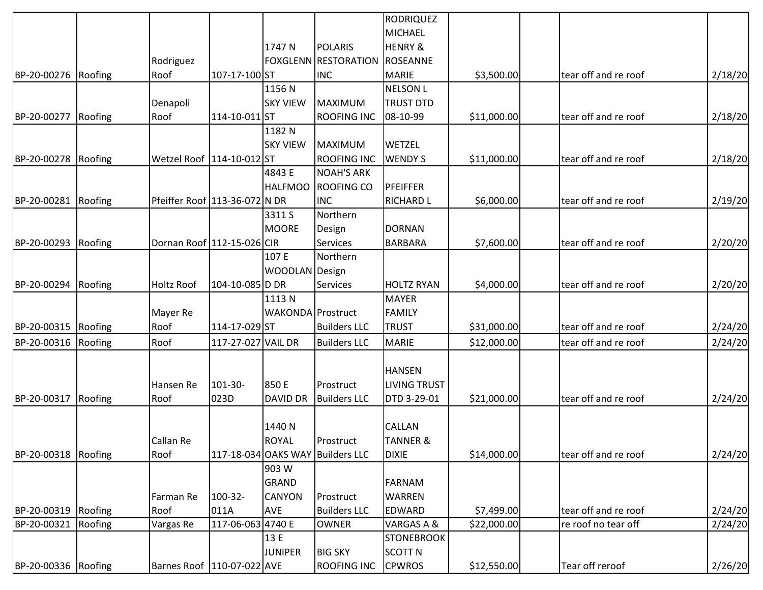|                     |         |                               |                    |                          |                                  | <b>RODRIQUEZ</b>    |                         |                      |         |
|---------------------|---------|-------------------------------|--------------------|--------------------------|----------------------------------|---------------------|-------------------------|----------------------|---------|
|                     |         |                               |                    |                          |                                  | MICHAEL             |                         |                      |         |
|                     |         |                               |                    | 1747 N                   | POLARIS                          | <b>HENRY &amp;</b>  |                         |                      |         |
|                     |         | Rodriguez                     |                    |                          | <b>FOXGLENN RESTORATION</b>      | ROSEANNE            |                         |                      |         |
| BP-20-00276 Roofing |         | Roof                          | 107-17-100 ST      |                          | <b>INC</b>                       | <b>MARIE</b>        | \$3,500.00              | tear off and re roof | 2/18/20 |
|                     |         |                               |                    | 1156N                    |                                  | <b>NELSON L</b>     |                         |                      |         |
|                     |         | Denapoli                      |                    | <b>SKY VIEW</b>          | <b>MAXIMUM</b>                   | <b>TRUST DTD</b>    |                         |                      |         |
| BP-20-00277         | Roofing | Roof                          | 114-10-011 ST      |                          | <b>ROOFING INC</b>               | 08-10-99            | \$11,000.00             | tear off and re roof | 2/18/20 |
|                     |         |                               |                    | 1182 N                   |                                  |                     |                         |                      |         |
|                     |         |                               |                    | <b>SKY VIEW</b>          | <b>MAXIMUM</b>                   | WETZEL              |                         |                      |         |
| BP-20-00278         | Roofing | Wetzel Roof 114-10-012 ST     |                    |                          | <b>ROOFING INC</b>               | <b>WENDY S</b>      | \$11,000.00]            | tear off and re roof | 2/18/20 |
|                     |         |                               |                    | 4843 E                   | <b>NOAH'S ARK</b>                |                     |                         |                      |         |
|                     |         |                               |                    | <b>HALFMOO</b>           | <b>ROOFING CO</b>                | PFEIFFER            |                         |                      |         |
| BP-20-00281         | Roofing | Pfeiffer Roof 113-36-072 N DR |                    |                          | <b>INC</b>                       | <b>RICHARD L</b>    | \$6,000.00              | tear off and re roof | 2/19/20 |
|                     |         |                               |                    | 3311 S                   | Northern                         |                     |                         |                      |         |
|                     |         |                               |                    | <b>MOORE</b>             | Design                           | <b>DORNAN</b>       |                         |                      |         |
| BP-20-00293         | Roofing | Dornan Roof 112-15-026 CIR    |                    |                          | <b>Services</b>                  | <b>BARBARA</b>      | \$7,600.00              | tear off and re roof | 2/20/20 |
|                     |         |                               |                    | 107 E                    | Northern                         |                     |                         |                      |         |
|                     |         |                               |                    | WOODLAN Design           |                                  |                     |                         |                      |         |
| BP-20-00294         | Roofing | Holtz Roof                    | 104-10-085 D DR    |                          | <b>Services</b>                  | <b>HOLTZ RYAN</b>   | \$4,000.00              | tear off and re roof | 2/20/20 |
|                     |         |                               |                    | 1113N                    |                                  | <b>MAYER</b>        |                         |                      |         |
|                     |         | Mayer Re                      |                    | <b>WAKONDA</b> Prostruct |                                  | <b>FAMILY</b>       |                         |                      |         |
| BP-20-00315 Roofing |         | Roof                          | 114-17-029 ST      |                          | <b>Builders LLC</b>              | <b>TRUST</b>        | \$31,000.00             | tear off and re roof | 2/24/20 |
| BP-20-00316         | Roofing | Roof                          | 117-27-027 VAIL DR |                          | <b>Builders LLC</b>              | <b>MARIE</b>        | \$12,000.00]            | tear off and re roof | 2/24/20 |
|                     |         |                               |                    |                          |                                  | <b>HANSEN</b>       |                         |                      |         |
|                     |         |                               | 101-30-            | 850 E                    | Prostruct                        | <b>LIVING TRUST</b> |                         |                      |         |
| BP-20-00317         | Roofing | Hansen Re<br>Roof             | 023D               | <b>DAVID DR</b>          | <b>Builders LLC</b>              | DTD 3-29-01         | \$21,000.00]            | tear off and re roof | 2/24/20 |
|                     |         |                               |                    |                          |                                  |                     |                         |                      |         |
|                     |         |                               |                    | 1440 N                   |                                  | CALLAN              |                         |                      |         |
|                     |         | Callan Re                     |                    | <b>ROYAL</b>             | Prostruct                        | <b>TANNER &amp;</b> |                         |                      |         |
| BP-20-00318 Roofing |         | Roof                          |                    |                          | 117-18-034 OAKS WAY Builders LLC | <b>DIXIE</b>        | \$14,000.00             | tear off and re roof | 2/24/20 |
|                     |         |                               |                    | 903 W                    |                                  |                     |                         |                      |         |
|                     |         |                               |                    | <b>GRAND</b>             |                                  | FARNAM              |                         |                      |         |
|                     |         | Farman Re                     | 100-32-            | <b>CANYON</b>            | Prostruct                        | WARREN              |                         |                      |         |
| BP-20-00319 Roofing |         | Roof                          | 011A               | <b>AVE</b>               | <b>Builders LLC</b>              | EDWARD              | \$7,499.00              | tear off and re roof | 2/24/20 |
| BP-20-00321         | Roofing | Vargas Re                     | 117-06-063 4740 E  |                          | <b>OWNER</b>                     | VARGAS A &          | $\overline{$}22,000.00$ | re roof no tear off  | 2/24/20 |
|                     |         |                               |                    | 13 E                     |                                  | <b>STONEBROOK</b>   |                         |                      |         |
|                     |         |                               |                    | <b>JUNIPER</b>           | <b>BIG SKY</b>                   | <b>SCOTT N</b>      |                         |                      |         |
| BP-20-00336 Roofing |         | Barnes Roof   110-07-022 AVE  |                    |                          | <b>ROOFING INC</b>               | <b>CPWROS</b>       | \$12,550.00             | Tear off reroof      | 2/26/20 |